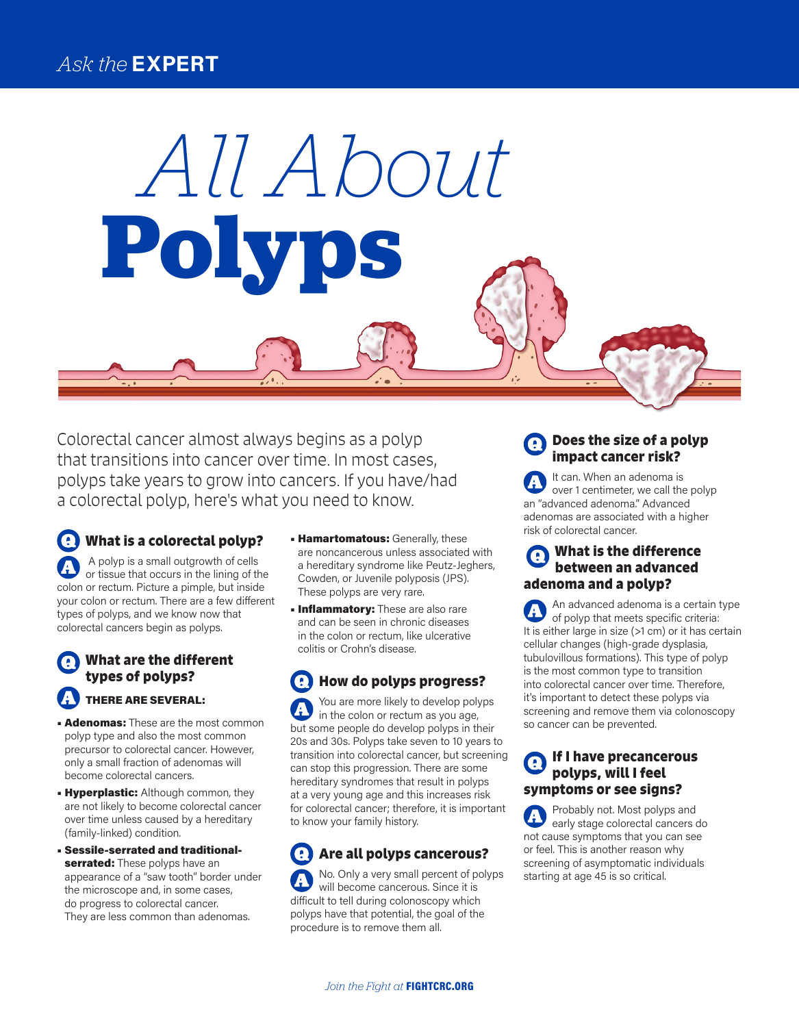# *Ask the* **EXPERT**

Colorectal cancer almost always begins as a polyp that transitions into cancer over time. In most cases, polyps take years to grow into cancers. If you have/had a colorectal polyp, here's what you need to know.

**Polyps**

*All About*

**What is a colorectal polyp?**  A polyp is a small outgrowth of cells or tissue that occurs in the lining of the colon or rectum. Picture a pimple, but inside your colon or rectum. There are a few different types of polyps, and we know now that colorectal cancers begin as polyps.

## **What are the different types of polyps?**  THERE ARE SEVERAL:

- **Adenomas:** These are the most common polyp type and also the most common precursor to colorectal cancer. However, only a small fraction of adenomas will become colorectal cancers.
- **Hyperplastic:** Although common, they are not likely to become colorectal cancer over time unless caused by a hereditary (family-linked) condition.
- Sessile-serrated and traditionalserrated: These polyps have an appearance of a "saw tooth" border under the microscope and, in some cases, do progress to colorectal cancer. They are less common than adenomas.
- **Hamartomatous:** Generally, these are noncancerous unless associated with a hereditary syndrome like Peutz-Jeghers, Cowden, or Juvenile polyposis (JPS). These polyps are very rare.
- **Inflammatory:** These are also rare and can be seen in chronic diseases in the colon or rectum, like ulcerative colitis or Crohn's disease.

**How do polyps progress?**  Q You are more likely to develop polyps in the colon or rectum as you age, but some people do develop polyps in their 20s and 30s. Polyps take seven to 10 years to transition into colorectal cancer, but screening can stop this progression. There are some hereditary syndromes that result in polyps at a very young age and this increases risk for colorectal cancer; therefore, it is important to know your family history.

#### **Are all polyps cancerous?**  No. Only a very small percent of polyps will become cancerous. Since it is difficult to tell during colonoscopy which polyps have that potential, the goal of the procedure is to remove them all.

## **Does the size of a polyp impact cancer risk?**

It can. When an adenoma is over 1 centimeter, we call the polyp an "advanced adenoma." Advanced adenomas are associated with a higher risk of colorectal cancer.

## **What is the difference between an advanced adenoma and a polyp?**

An advanced adenoma is a certain type of polyp that meets specific criteria: It is either large in size (>1 cm) or it has certain cellular changes (high-grade dysplasia, tubulovillous formations). This type of polyp is the most common type to transition into colorectal cancer over time. Therefore, it's important to detect these polyps via screening and remove them via colonoscopy so cancer can be prevented.

## **If I have precancerous polyps, will I feel symptoms or see signs?**

Probably not. Most polyps and early stage colorectal cancers do not cause symptoms that you can see or feel. This is another reason why screening of asymptomatic individuals starting at age 45 is so critical.